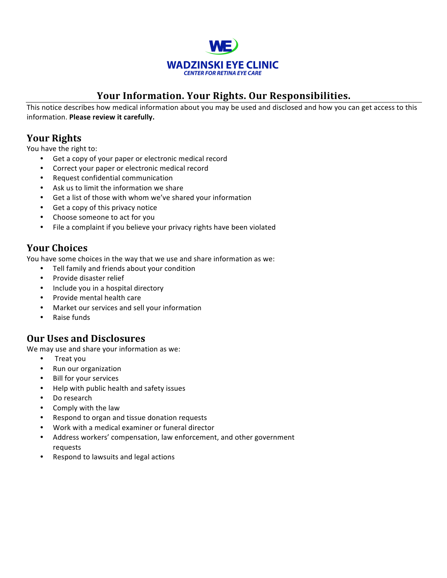

# Your Information. Your Rights. Our Responsibilities.

This notice describes how medical information about you may be used and disclosed and how you can get access to this information. Please review it carefully.

# **Your Rights**

You have the right to:

- Get a copy of your paper or electronic medical record
- Correct your paper or electronic medical record
- Request confidential communication
- Ask us to limit the information we share
- Get a list of those with whom we've shared your information
- Get a copy of this privacy notice
- Choose someone to act for you
- File a complaint if you believe your privacy rights have been violated

## **Your Choices**

You have some choices in the way that we use and share information as we:

- Tell family and friends about your condition
- Provide disaster relief
- Include you in a hospital directory
- Provide mental health care
- Market our services and sell your information
- Raise funds

### **Our Uses and Disclosures**

We may use and share your information as we:

- Treat you
- Run our organization
- **Bill for your services**
- Help with public health and safety issues
- Do research
- Comply with the law
- Respond to organ and tissue donation requests
- Work with a medical examiner or funeral director
- Address workers' compensation, law enforcement, and other government requests
- Respond to lawsuits and legal actions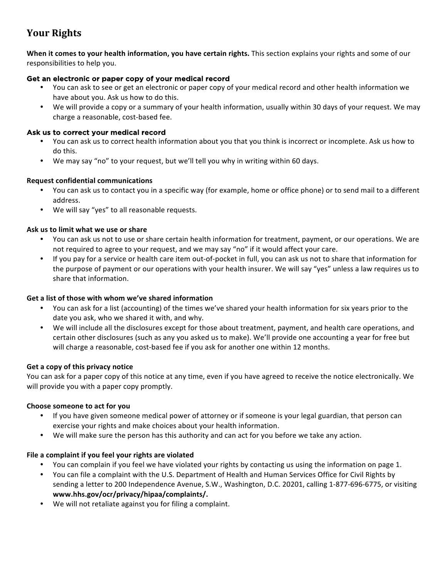# **Your Rights**

**When it comes to your health information, you have certain rights.** This section explains your rights and some of our responsibilities to help you.

#### Get an electronic or paper copy of your medical record

- You can ask to see or get an electronic or paper copy of your medical record and other health information we have about you. Ask us how to do this.
- We will provide a copy or a summary of your health information, usually within 30 days of your request. We may charge a reasonable, cost-based fee.

#### Ask us to correct your medical record

- You can ask us to correct health information about you that you think is incorrect or incomplete. Ask us how to do this.
- We may say "no" to your request, but we'll tell you why in writing within 60 days.

#### **Request confidential communications**

- You can ask us to contact you in a specific way (for example, home or office phone) or to send mail to a different address.
- We will say "yes" to all reasonable requests.

#### Ask us to limit what we use or share

- You can ask us not to use or share certain health information for treatment, payment, or our operations. We are not required to agree to your request, and we may say "no" if it would affect your care.
- If you pay for a service or health care item out-of-pocket in full, you can ask us not to share that information for the purpose of payment or our operations with your health insurer. We will say "yes" unless a law requires us to share that information.

#### Get a list of those with whom we've shared information

- You can ask for a list (accounting) of the times we've shared your health information for six years prior to the date you ask, who we shared it with, and why.
- We will include all the disclosures except for those about treatment, payment, and health care operations, and certain other disclosures (such as any you asked us to make). We'll provide one accounting a year for free but will charge a reasonable, cost-based fee if you ask for another one within 12 months.

#### Get a copy of this privacy notice

You can ask for a paper copy of this notice at any time, even if you have agreed to receive the notice electronically. We will provide you with a paper copy promptly.

#### **Choose someone to act for you**

- If you have given someone medical power of attorney or if someone is your legal guardian, that person can exercise your rights and make choices about your health information.
- We will make sure the person has this authority and can act for you before we take any action.

#### File a complaint if you feel your rights are violated

- You can complain if you feel we have violated your rights by contacting us using the information on page 1.
- You can file a complaint with the U.S. Department of Health and Human Services Office for Civil Rights by sending a letter to 200 Independence Avenue, S.W., Washington, D.C. 20201, calling 1-877-696-6775, or visiting **www.hhs.gov/ocr/privacy/hipaa/complaints/.**
- We will not retaliate against you for filing a complaint.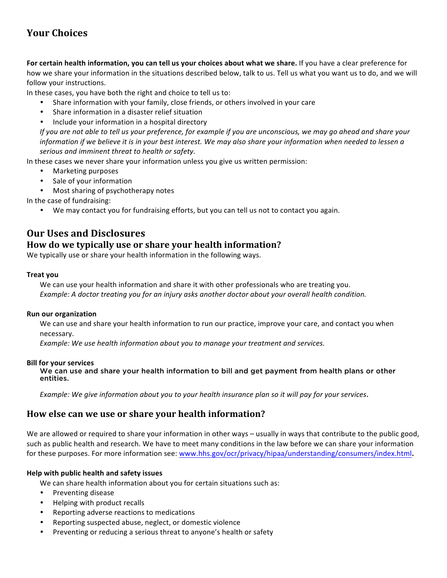# **Your Choices**

**For certain health information, you can tell us your choices about what we share.** If you have a clear preference for how we share your information in the situations described below, talk to us. Tell us what you want us to do, and we will follow your instructions.

In these cases, you have both the right and choice to tell us to:

- Share information with your family, close friends, or others involved in your care
- Share information in a disaster relief situation
- Include your information in a hospital directory

*If* you are not able to tell us your preference, for example if you are unconscious, we may go ahead and share your *information* if we believe it is in your best interest. We may also share your information when needed to lessen a serious and imminent threat to health or safety.

In these cases we never share your information unless you give us written permission:

- Marketing purposes
- Sale of your information
- Most sharing of psychotherapy notes

In the case of fundraising:

• We may contact you for fundraising efforts, but you can tell us not to contact you again.

## **Our Uses and Disclosures**

### **How do we typically use or share your health information?**

We typically use or share your health information in the following ways.

#### **Treat you**

We can use your health information and share it with other professionals who are treating you. *Example:* A doctor treating you for an injury asks another doctor about your overall health condition.

#### **Run our organization**

We can use and share your health information to run our practice, improve your care, and contact you when necessary.

*Example:* We use health information about you to manage your treatment and services.

#### **Bill for your services**

We can use and share your health information to bill and get payment from health plans or other entities.

*Example:* We give information about you to your health insurance plan so it will pay for your services.

### **How else can we use or share your health information?**

We are allowed or required to share your information in other ways – usually in ways that contribute to the public good, such as public health and research. We have to meet many conditions in the law before we can share your information for these purposes. For more information see: www.hhs.gov/ocr/privacy/hipaa/understanding/consumers/index.html.

#### **Help with public health and safety issues**

We can share health information about you for certain situations such as:

- Preventing disease
- Helping with product recalls
- Reporting adverse reactions to medications
- Reporting suspected abuse, neglect, or domestic violence
- Preventing or reducing a serious threat to anyone's health or safety